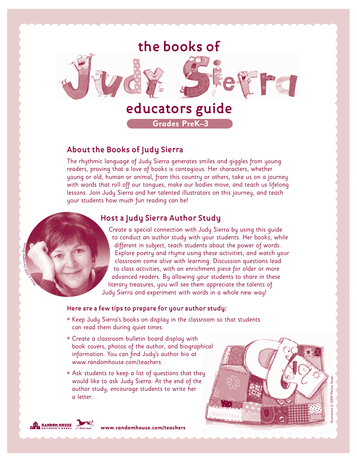

## **About the Books of Judy Sierra**

The rhythmic language of Judy Sierra generates smiles and giggles from young readers, proving that a love of books is contagious. Her characters, whether young or old, human or animal, from this country or others, take us on a journey with words that roll off our tongues, make our bodies move, and teach us lifelong lessons. Join Judy Sierra and her talented illustrators on this journey, and teach your students how much fun reading can be!

### **Host a Judy Sierra Author Study**

Create a special connection with Judy Sierra by using this guide to conduct an author study with your students. Her books, while different in subject, teach students about the power of words. Explore poetry and rhyme using these activities, and watch your classroom come alive with learning. Discussion questions lead to class activities, with an enrichment piece for older or more advanced readers. By allowing your students to share in these literary treasures, you will see them appreciate the talents of Judy Sierra and experiment with words in a whole new way!

#### **Here are a few tips to prepare for your author study:**

- Keep Judy Sierra's books on display in the classroom so that students can read them during quiet times.
- Create a classroom bulletin board display with book covers, photos of the author, and biographical information. You can find Judy's author bio at www.randomhouse.com/teachers
- Ask students to keep a list of questions that they would like to ask Judy Sierra. At the end of the author study, encourage students to write her a letter.





Photostand Poole Christopher Briscoe.

**www.randomhouse.com/teachers**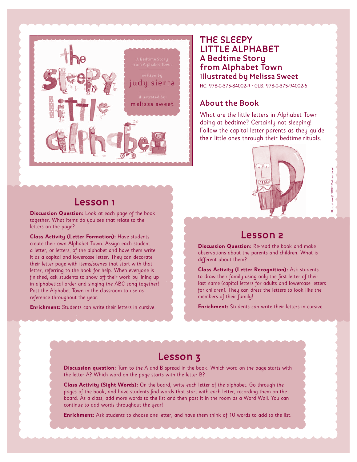

## **THE SLEEPY LITTLE ALPHABET A Bedtime Story from Alphabet Town Illustrated by Melissa Sweet**

HC: 978-0-375-84002-9 • GLB: 978-0-375-94002-6

## **About the Book**

What are the little letters in Alphabet Town doing at bedtime? Certainly not sleeping! Follow the capital letter parents as they guide their little ones through their bedtime rituals.

## **Lesson 1**

**Discussion Question:** Look at each page of the book together. What items do you see that relate to the letters on the page?

**Class Activity (Letter Formation):** Have students create their own Alphabet Town. Assign each student a letter, or letters, of the alphabet and have them write it as a capital and lowercase letter. They can decorate their letter page with items/scenes that start with that letter, referring to the book for help. When everyone is finished, ask students to show off their work by lining up in alphabetical order and singing the ABC song together! Post the Alphabet Town in the classroom to use as reference throughout the year.

**Enrichment:** Students can write their letters in cursive.



## **Lesson 2**

**Discussion Question:** Re-read the book and make observations about the parents and children. What is different about them?

**Class Activity (Letter Recognition):** Ask students to draw their family using only the first letter of their last name (capital letters for adults and lowercase letters for children). They can dress the letters to look like the members of their family!

**Enrichment:** Students can write their letters in cursive.

## **Lesson 3**

**Discussion question:** Turn to the A and B spread in the book. Which word on the page starts with the letter A? Which word on the page starts with the letter B?

**Class Activity (Sight Words):** On the board, write each letter of the alphabet. Go through the pages of the book, and have students find words that start with each letter, recording them on the board. As a class, add more words to the list and then post it in the room as a Word Wall. You can continue to add words throughout the year!

**Enrichment:** Ask students to choose one letter, and have them think of 10 words to add to the list.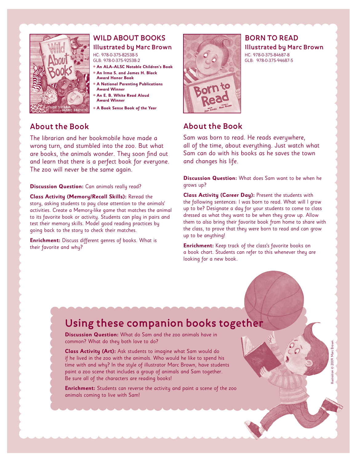

## **WILD ABOUT BOOKS**

#### **Illustrated by Marc Brown** HC: 978-0-375-82538-5

GLB: 978-0-375-92538-2

- ● **An ALA–ALSC Notable Children's Book**
- ● **An Irma S. and James H. Black Award Honor Book**
- ● **A National Parenting Publications**
- **Award Winner** ● **An E. B. White Read Aloud**
- **Award Winner**
- ● **A Book Sense Book of the Year**

## **About the Book**

The librarian and her bookmobile have made a wrong turn, and stumbled into the zoo. But what are books, the animals wonder. They soon find out and learn that there is a perfect book for everyone. The zoo will never be the same again.

**Discussion Question:** Can animals really read?

**Class Activity (Memory/Recall Skills):** Reread the story, asking students to pay close attention to the animals' activities. Create a Memory-like game that matches the animal to its favorite book or activity. Students can play in pairs and test their memory skills. Model good reading practices by going back to the story to check their matches.

**Enrichment:** Discuss different genres of books. What is their favorite and why?



**BORN TO READ Illustrated by Marc Brown** HC: 978-0-375-84687-8 GLB: 978-0-375-94687-5

## **About the Book**

Sam was born to read. He reads everywhere, all of the time, about everything. Just watch what Sam can do with his books as he saves the town and changes his life.

**Discussion Question:** What does Sam want to be when he grows up?

**Class Activity (Career Day):** Present the students with the following sentences: I was born to read. What will I grow up to be? Designate a day for your students to come to class dressed as what they want to be when they grow up. Allow them to also bring their favorite book from home to share with the class, to prove that they were born to read and can grow up to be anything!

**Enrichment:** Keep track of the class's favorite books on a book chart. Students can refer to this whenever they are looking for a new book.

Illustration © 2009 Marc Brown.

© 2009 Marc Brown

# **Using these companion books together**

**Discussion Question:** What do Sam and the zoo animals have in common? What do they both love to do?

**Class Activity (Art):** Ask students to imagine what Sam would do if he lived in the zoo with the animals. Who would he like to spend his time with and why? In the style of illustrator Marc Brown, have students paint a zoo scene that includes a group of animals and Sam together. Be sure all of the characters are reading books!

**Enrichment:** Students can reverse the activity and paint a scene of the zoo animals coming to live with Sam!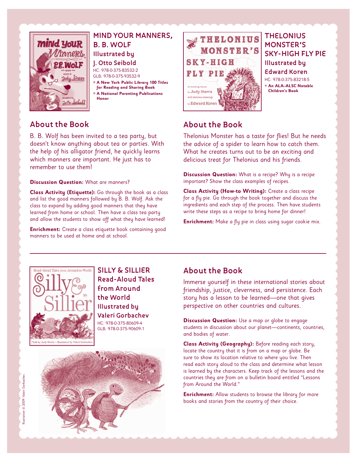

#### **MIND YOUR MANNERS, B. B. WOLF Illustrated by J. Otto Seibold** HC: 978-0-375-83532-2 GLB: 978-0-375-93532-9 ● **A New York Public Library 100 Titles for Reading and Sharing Book**

● **A National Parenting Publications Honor**

## **About the Book**

B. B. Wolf has been invited to a tea party, but doesn't know anything about tea or parties. With the help of his alligator friend, he quickly learns which manners are important. He just has to remember to use them!

**Discussion Question:** What are manners?

**Class Activity (Etiquette):** Go through the book as a class and list the good manners followed by B. B. Wolf. Ask the class to expand by adding good manners that they have learned from home or school. Then have a class tea party and allow the students to show off what they have learned!

**Enrichment:** Create a class etiquette book containing good manners to be used at home and at school.



### **THELONIUS MONSTER'S SKY-HIGH FLY PIE Illustrated by Edward Koren** HC: 978-0-375-83218-5 ● **An ALA–ALSC Notable Children's Book**

## **About the Book**

Thelonius Monster has a taste for flies! But he needs the advice of a spider to learn how to catch them. What he creates turns out to be an exciting and delicious treat for Thelonius and his friends.

**Discussion Question:** What is a recipe? Why is a recipe important? Show the class examples of recipes.

**Class Activity (How-to Writing):** Create a class recipe for a fly pie. Go through the book together and discuss the ingredients and each step of the process. Then have students write these steps as a recipe to bring home for dinner!

**Enrichment:** Make a fly pie in class using sugar cookie mix.



**SILLY & SILLIER Read-Aloud Tales from Around the World Illustrated by Valeri Gorbachev** HC: 978-0-375-80609-4

GLB: 978-0-375-90609-1



## **About the Book**

Immerse yourself in these international stories about friendship, justice, cleverness, and persistence. Each story has a lesson to be learned—one that gives perspective on other countries and cultures.

**Discussion Question:** Use a map or globe to engage students in discussion about our planet—continents, countries, and bodies of water.

**Class Activity (Geography):** Before reading each story, locate the country that it is from on a map or globe. Be sure to show its location relative to where you live. Then read each story aloud to the class and determine what lesson is learned by the characters. Keep track of the lessons and the countries they are from on a bulletin board entitled "Lessons from Around the World."

**Enrichment:** Allow students to browse the library for more books and stories from the country of their choice.